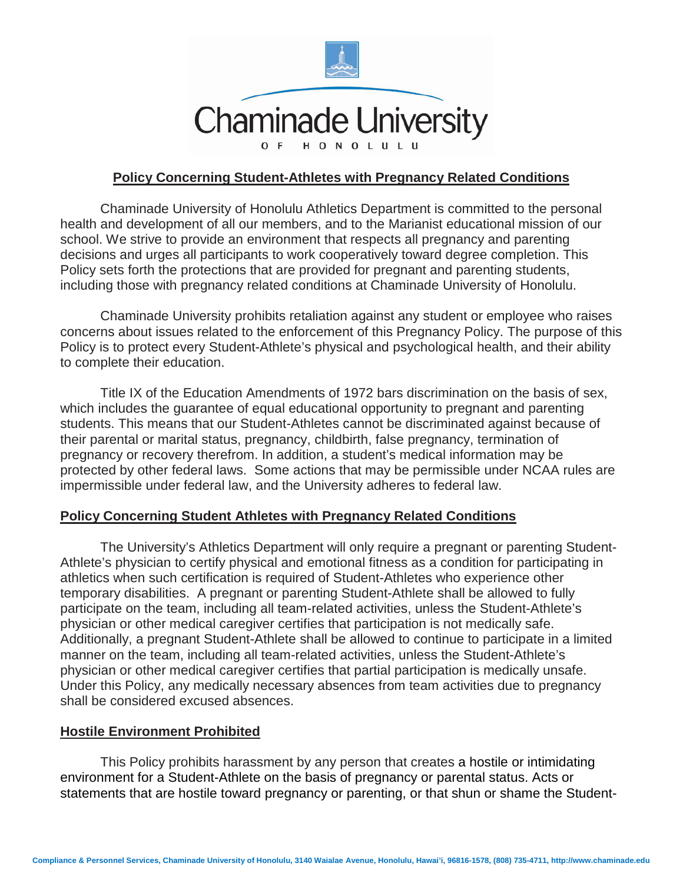

## **Policy Concerning Student-Athletes with Pregnancy Related Conditions**

Chaminade University of Honolulu Athletics Department is committed to the personal health and development of all our members, and to the Marianist educational mission of our school. We strive to provide an environment that respects all pregnancy and parenting decisions and urges all participants to work cooperatively toward degree completion. This Policy sets forth the protections that are provided for pregnant and parenting students, including those with pregnancy related conditions at Chaminade University of Honolulu.

Chaminade University prohibits retaliation against any student or employee who raises concerns about issues related to the enforcement of this Pregnancy Policy. The purpose of this Policy is to protect every Student-Athlete's physical and psychological health, and their ability to complete their education.

Title IX of the Education Amendments of 1972 bars discrimination on the basis of sex, which includes the guarantee of equal educational opportunity to pregnant and parenting students. This means that our Student-Athletes cannot be discriminated against because of their parental or marital status, pregnancy, childbirth, false pregnancy, termination of pregnancy or recovery therefrom. In addition, a student's medical information may be protected by other federal laws. Some actions that may be permissible under NCAA rules are impermissible under federal law, and the University adheres to federal law.

#### **Policy Concerning Student Athletes with Pregnancy Related Conditions**

The University's Athletics Department will only require a pregnant or parenting Student-Athlete's physician to certify physical and emotional fitness as a condition for participating in athletics when such certification is required of Student-Athletes who experience other temporary disabilities. A pregnant or parenting Student-Athlete shall be allowed to fully participate on the team, including all team-related activities, unless the Student-Athlete's physician or other medical caregiver certifies that participation is not medically safe. Additionally, a pregnant Student-Athlete shall be allowed to continue to participate in a limited manner on the team, including all team-related activities, unless the Student-Athlete's physician or other medical caregiver certifies that partial participation is medically unsafe. Under this Policy, any medically necessary absences from team activities due to pregnancy shall be considered excused absences.

### **Hostile Environment Prohibited**

This Policy prohibits harassment by any person that creates a hostile or intimidating environment for a Student-Athlete on the basis of pregnancy or parental status. Acts or statements that are hostile toward pregnancy or parenting, or that shun or shame the Student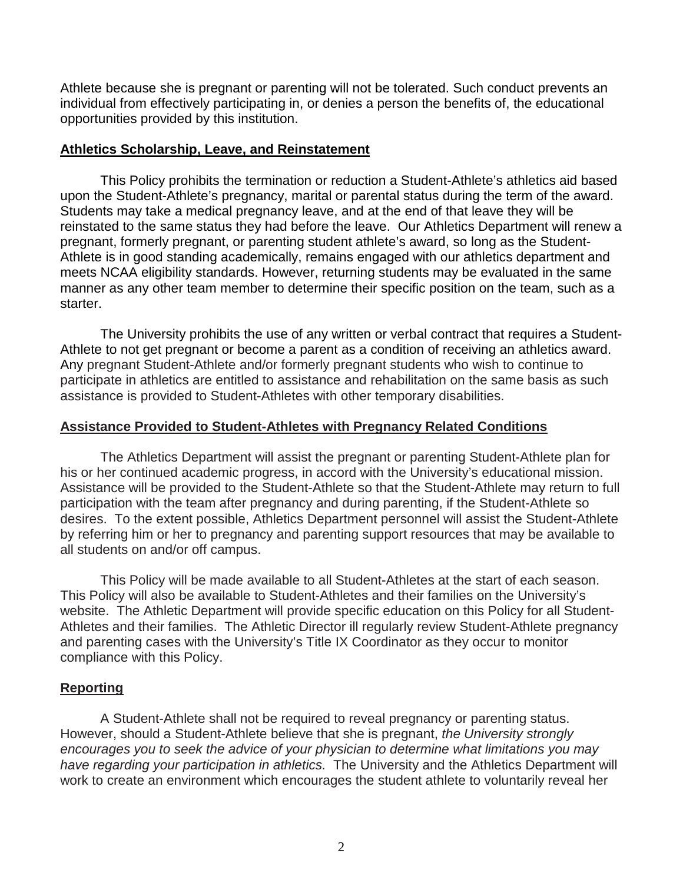Athlete because she is pregnant or parenting will not be tolerated. Such conduct prevents an individual from effectively participating in, or denies a person the benefits of, the educational opportunities provided by this institution.

### **Athletics Scholarship, Leave, and Reinstatement**

This Policy prohibits the termination or reduction a Student-Athlete's athletics aid based upon the Student-Athlete's pregnancy, marital or parental status during the term of the award. Students may take a medical pregnancy leave, and at the end of that leave they will be reinstated to the same status they had before the leave. Our Athletics Department will renew a pregnant, formerly pregnant, or parenting student athlete's award, so long as the Student-Athlete is in good standing academically, remains engaged with our athletics department and meets NCAA eligibility standards. However, returning students may be evaluated in the same manner as any other team member to determine their specific position on the team, such as a starter.

The University prohibits the use of any written or verbal contract that requires a Student-Athlete to not get pregnant or become a parent as a condition of receiving an athletics award. Any pregnant Student-Athlete and/or formerly pregnant students who wish to continue to participate in athletics are entitled to assistance and rehabilitation on the same basis as such assistance is provided to Student-Athletes with other temporary disabilities.

## **Assistance Provided to Student-Athletes with Pregnancy Related Conditions**

The Athletics Department will assist the pregnant or parenting Student-Athlete plan for his or her continued academic progress, in accord with the University's educational mission. Assistance will be provided to the Student-Athlete so that the Student-Athlete may return to full participation with the team after pregnancy and during parenting, if the Student-Athlete so desires. To the extent possible, Athletics Department personnel will assist the Student-Athlete by referring him or her to pregnancy and parenting support resources that may be available to all students on and/or off campus.

This Policy will be made available to all Student-Athletes at the start of each season. This Policy will also be available to Student-Athletes and their families on the University's website. The Athletic Department will provide specific education on this Policy for all Student-Athletes and their families. The Athletic Director ill regularly review Student-Athlete pregnancy and parenting cases with the University's Title IX Coordinator as they occur to monitor compliance with this Policy.

# **Reporting**

A Student-Athlete shall not be required to reveal pregnancy or parenting status. However, should a Student-Athlete believe that she is pregnant, *the University strongly encourages you to seek the advice of your physician to determine what limitations you may have regarding your participation in athletics.* The University and the Athletics Department will work to create an environment which encourages the student athlete to voluntarily reveal her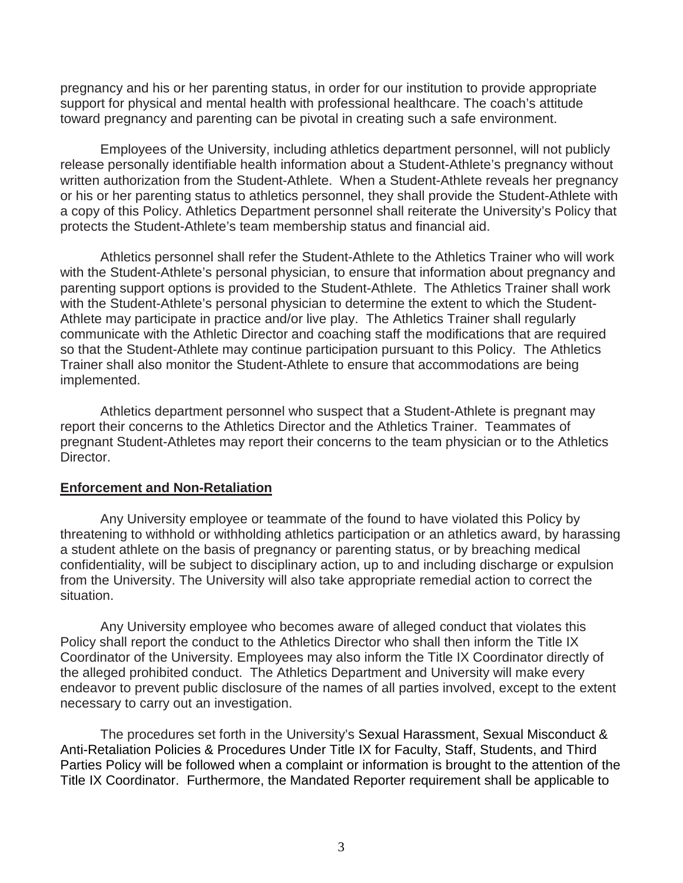pregnancy and his or her parenting status, in order for our institution to provide appropriate support for physical and mental health with professional healthcare. The coach's attitude toward pregnancy and parenting can be pivotal in creating such a safe environment.

Employees of the University, including athletics department personnel, will not publicly release personally identifiable health information about a Student-Athlete's pregnancy without written authorization from the Student-Athlete. When a Student-Athlete reveals her pregnancy or his or her parenting status to athletics personnel, they shall provide the Student-Athlete with a copy of this Policy. Athletics Department personnel shall reiterate the University's Policy that protects the Student-Athlete's team membership status and financial aid.

Athletics personnel shall refer the Student-Athlete to the Athletics Trainer who will work with the Student-Athlete's personal physician, to ensure that information about pregnancy and parenting support options is provided to the Student-Athlete. The Athletics Trainer shall work with the Student-Athlete's personal physician to determine the extent to which the Student-Athlete may participate in practice and/or live play. The Athletics Trainer shall regularly communicate with the Athletic Director and coaching staff the modifications that are required so that the Student-Athlete may continue participation pursuant to this Policy. The Athletics Trainer shall also monitor the Student-Athlete to ensure that accommodations are being implemented.

Athletics department personnel who suspect that a Student-Athlete is pregnant may report their concerns to the Athletics Director and the Athletics Trainer. Teammates of pregnant Student-Athletes may report their concerns to the team physician or to the Athletics Director.

#### **Enforcement and Non-Retaliation**

Any University employee or teammate of the found to have violated this Policy by threatening to withhold or withholding athletics participation or an athletics award, by harassing a student athlete on the basis of pregnancy or parenting status, or by breaching medical confidentiality, will be subject to disciplinary action, up to and including discharge or expulsion from the University. The University will also take appropriate remedial action to correct the situation.

Any University employee who becomes aware of alleged conduct that violates this Policy shall report the conduct to the Athletics Director who shall then inform the Title IX Coordinator of the University. Employees may also inform the Title IX Coordinator directly of the alleged prohibited conduct. The Athletics Department and University will make every endeavor to prevent public disclosure of the names of all parties involved, except to the extent necessary to carry out an investigation.

The procedures set forth in the University's Sexual Harassment, Sexual Misconduct & Anti-Retaliation Policies & Procedures Under Title IX for Faculty, Staff, Students, and Third Parties Policy will be followed when a complaint or information is brought to the attention of the Title IX Coordinator. Furthermore, the Mandated Reporter requirement shall be applicable to